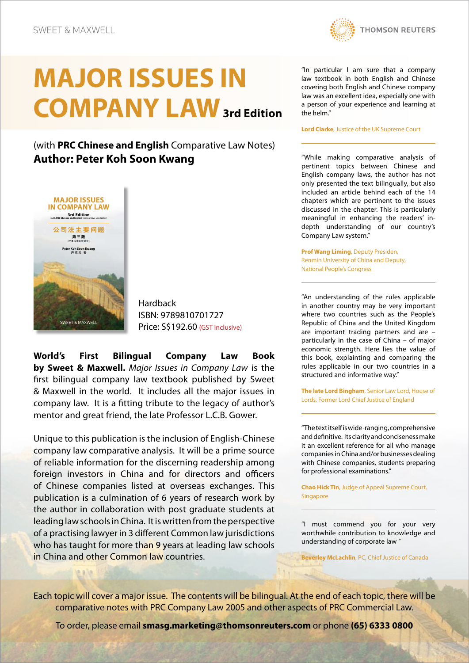## **MAJOR ISSUES IN COMPANY LAW3rd Edition**

(with **PRC Chinese and English** Comparative Law Notes) **Author: Peter Koh Soon Kwang**



**Hardback** ISBN: 9789810701727 Price: S\$192.60 (GST inclusive)

**World's First Bilingual Company Law Book by Sweet & Maxwell.** *Major Issues in Company Law* is the first bilingual company law textbook published by Sweet & Maxwell in the world. It includes all the major issues in company law. It is a fitting tribute to the legacy of author's mentor and great friend, the late Professor L.C.B. Gower.

Unique to this publication is the inclusion of English-Chinese company law comparative analysis. It will be a prime source of reliable information for the discerning readership among foreign investors in China and for directors and officers of Chinese companies listed at overseas exchanges. This publication is a culmination of 6 years of research work by the author in collaboration with post graduate students at leading law schools in China. It is written from the perspective of a practising lawyer in 3 different Common law jurisdictions who has taught for more than 9 years at leading law schools in China and other Common law countries.

**THOMSON REUTERS** 

"In particular I am sure that a company law textbook in both English and Chinese covering both English and Chinese company law was an excellent idea, especially one with a person of your experience and learning at the helm."

**Lord Clarke**, Justice of the UK Supreme Court

"While making comparative analysis of pertinent topics between Chinese and English company laws, the author has not only presented the text bilingually, but also included an article behind each of the 14 chapters which are pertinent to the issues discussed in the chapter. This is particularly meaningful in enhancing the readers' indepth understanding of our country's Company Law system."

**Prof Wang Liming**, Deputy Presiden, Renmin University of China and Deputy, National People's Congress

"An understanding of the rules applicable in another country may be very important where two countries such as the People's Republic of China and the United Kingdom are important trading partners and are – particularly in the case of China – of major economic strength. Here lies the value of this book, explainting and comparing the rules applicable in our two countries in a structured and informative way."

**The late Lord Bingham**, Senior Law Lord, House of Lords, Former Lord Chief Justice of England

"The text itself is wide-ranging, comprehensive and definitive. Its clarity and conciseness make it an excellent reference for all who manage companies in China and/or businesses dealing with Chinese companies, students preparing for professional examinations."

**Chao Hick Tin**, Judge of Appeal Supreme Court, Singapore

"I must commend you for your very worthwhile contribution to knowledge and understanding of corporate law "

**Beverley McLachlin**, PC, Chief Justice of Canada

Each topic will cover a major issue. The contents will be bilingual. At the end of each topic, there will be comparative notes with PRC Company Law 2005 and other aspects of PRC Commercial Law.

To order, please email **smasg.marketing@thomsonreuters.com** or phone **(65) 6333 0800**